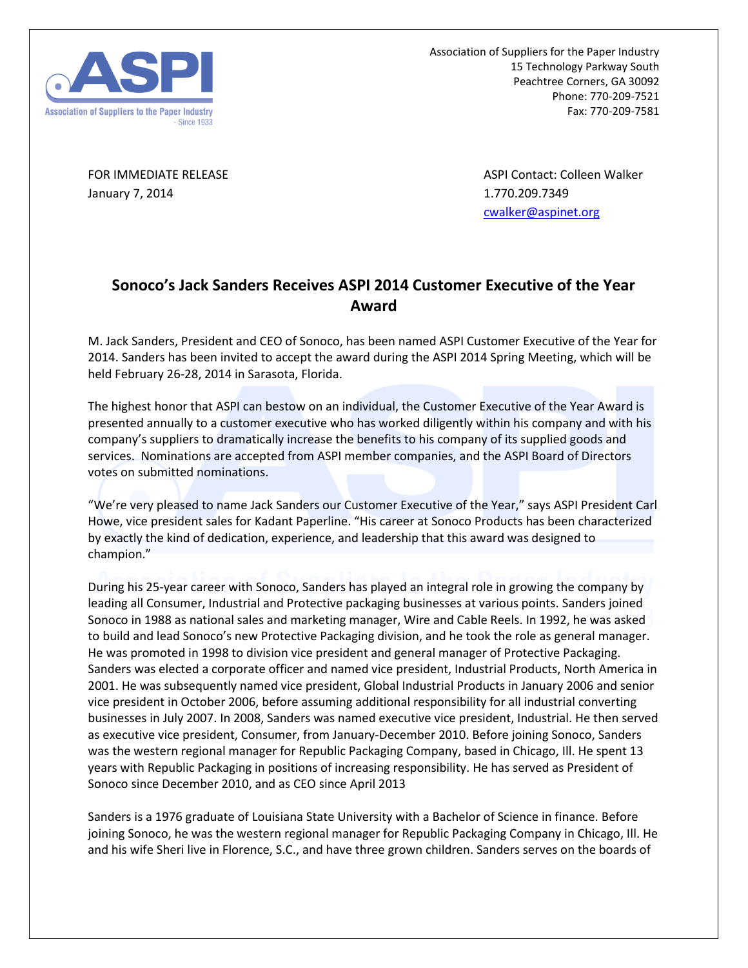

Association of Suppliers for the Paper Industry 15 Technology Parkway South Peachtree Corners, GA 30092 Phone: 770-209-7521 Fax: 770-209-7581

January 7, 2014 1.770.209.7349

FOR IMMEDIATE RELEASE ASPI CONTACT ASPI Contact: Colleen Walker [cwalker@aspinet.org](mailto:cwalker@aspinet.org)

## **Sonoco's Jack Sanders Receives ASPI 2014 Customer Executive of the Year Award**

M. Jack Sanders, President and CEO of Sonoco, has been named ASPI Customer Executive of the Year for 2014. Sanders has been invited to accept the award during the ASPI 2014 Spring Meeting, which will be held February 26-28, 2014 in Sarasota, Florida.

The highest honor that ASPI can bestow on an individual, the Customer Executive of the Year Award is presented annually to a customer executive who has worked diligently within his company and with his company's suppliers to dramatically increase the benefits to his company of its supplied goods and services. Nominations are accepted from ASPI member companies, and the ASPI Board of Directors votes on submitted nominations.

"We're very pleased to name Jack Sanders our Customer Executive of the Year," says ASPI President Carl Howe, vice president sales for Kadant Paperline. "His career at Sonoco Products has been characterized by exactly the kind of dedication, experience, and leadership that this award was designed to champion."

During his 25-year career with Sonoco, Sanders has played an integral role in growing the company by leading all Consumer, Industrial and Protective packaging businesses at various points. Sanders joined Sonoco in 1988 as national sales and marketing manager, Wire and Cable Reels. In 1992, he was asked to build and lead Sonoco's new Protective Packaging division, and he took the role as general manager. He was promoted in 1998 to division vice president and general manager of Protective Packaging. Sanders was elected a corporate officer and named vice president, Industrial Products, North America in 2001. He was subsequently named vice president, Global Industrial Products in January 2006 and senior vice president in October 2006, before assuming additional responsibility for all industrial converting businesses in July 2007. In 2008, Sanders was named executive vice president, Industrial. He then served as executive vice president, Consumer, from January-December 2010. Before joining Sonoco, Sanders was the western regional manager for Republic Packaging Company, based in Chicago, Ill. He spent 13 years with Republic Packaging in positions of increasing responsibility. He has served as President of Sonoco since December 2010, and as CEO since April 2013

Sanders is a 1976 graduate of Louisiana State University with a Bachelor of Science in finance. Before joining Sonoco, he was the western regional manager for Republic Packaging Company in Chicago, Ill. He and his wife Sheri live in Florence, S.C., and have three grown children. Sanders serves on the boards of